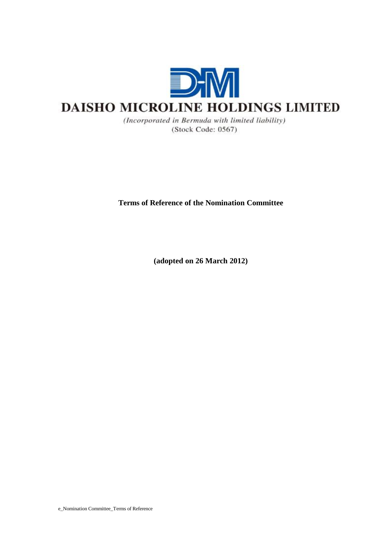

(Incorporated in Bermuda with limited liability) (Stock Code: 0567)

**Terms of Reference of the Nomination Committee** 

**(adopted on 26 March 2012)**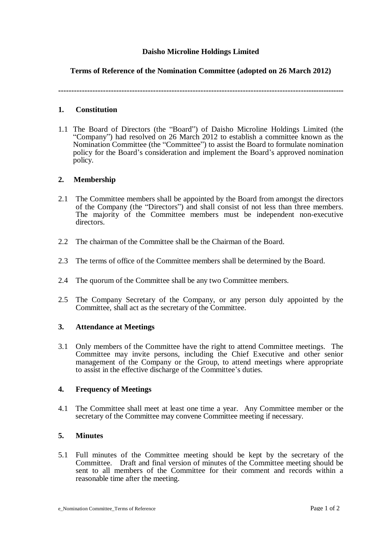# **Daisho Microline Holdings Limited**

# **Terms of Reference of the Nomination Committee (adopted on 26 March 2012)**

**-------------------------------------------------------------------------------------------------------------**

### **1. Constitution**

1.1 The Board of Directors (the "Board") of Daisho Microline Holdings Limited (the "Company") had resolved on 26 March 2012 to establish a committee known as the Nomination Committee (the "Committee") to assist the Board to formulate nomination policy for the Board's consideration and implement the Board's approved nomination policy.

### **2. Membership**

- 2.1 The Committee members shall be appointed by the Board from amongst the directors of the Company (the "Directors") and shall consist of not less than three members. The majority of the Committee members must be independent non-executive directors.
- 2.2 The chairman of the Committee shall be the Chairman of the Board.
- 2.3 The terms of office of the Committee members shall be determined by the Board.
- 2.4 The quorum of the Committee shall be any two Committee members.
- 2.5 The Company Secretary of the Company, or any person duly appointed by the Committee, shall act as the secretary of the Committee.

#### **3. Attendance at Meetings**

3.1 Only members of the Committee have the right to attend Committee meetings. The Committee may invite persons, including the Chief Executive and other senior management of the Company or the Group, to attend meetings where appropriate to assist in the effective discharge of the Committee's duties.

#### **4. Frequency of Meetings**

4.1 The Committee shall meet at least one time a year. Any Committee member or the secretary of the Committee may convene Committee meeting if necessary.

## **5. Minutes**

5.1 Full minutes of the Committee meeting should be kept by the secretary of the Committee. Draft and final version of minutes of the Committee meeting should be sent to all members of the Committee for their comment and records within a reasonable time after the meeting.